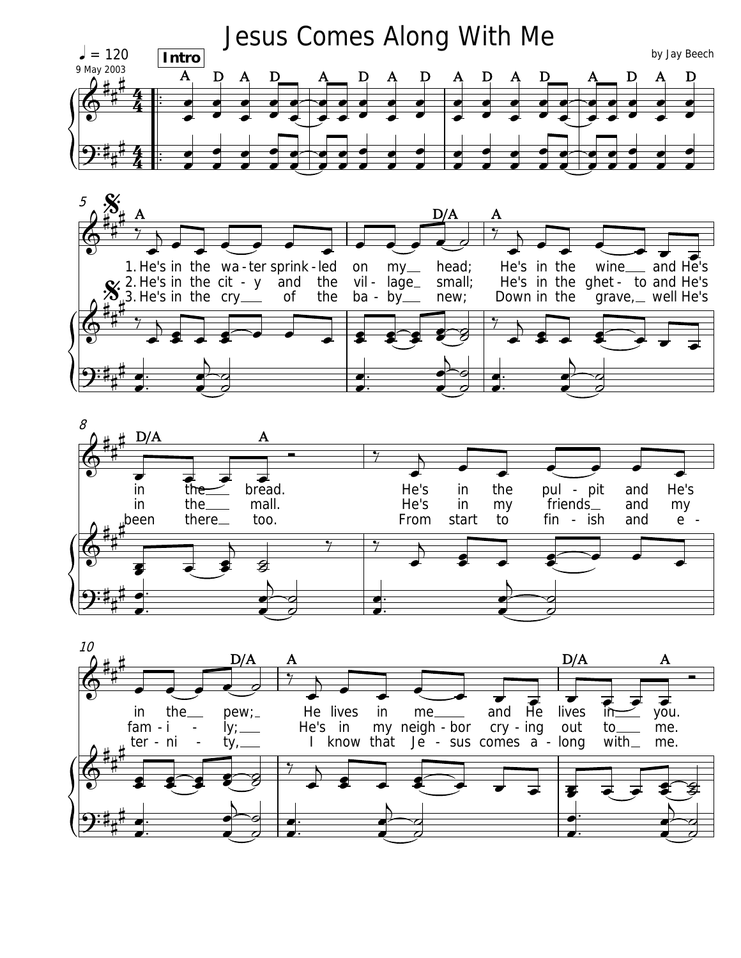





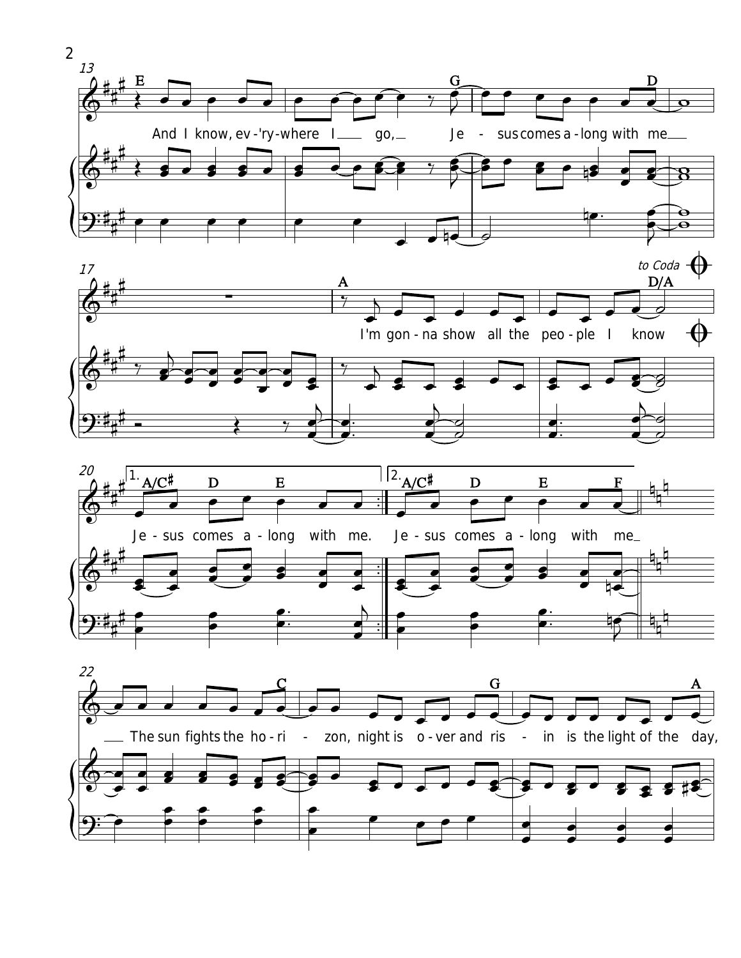







 $\overline{2}$